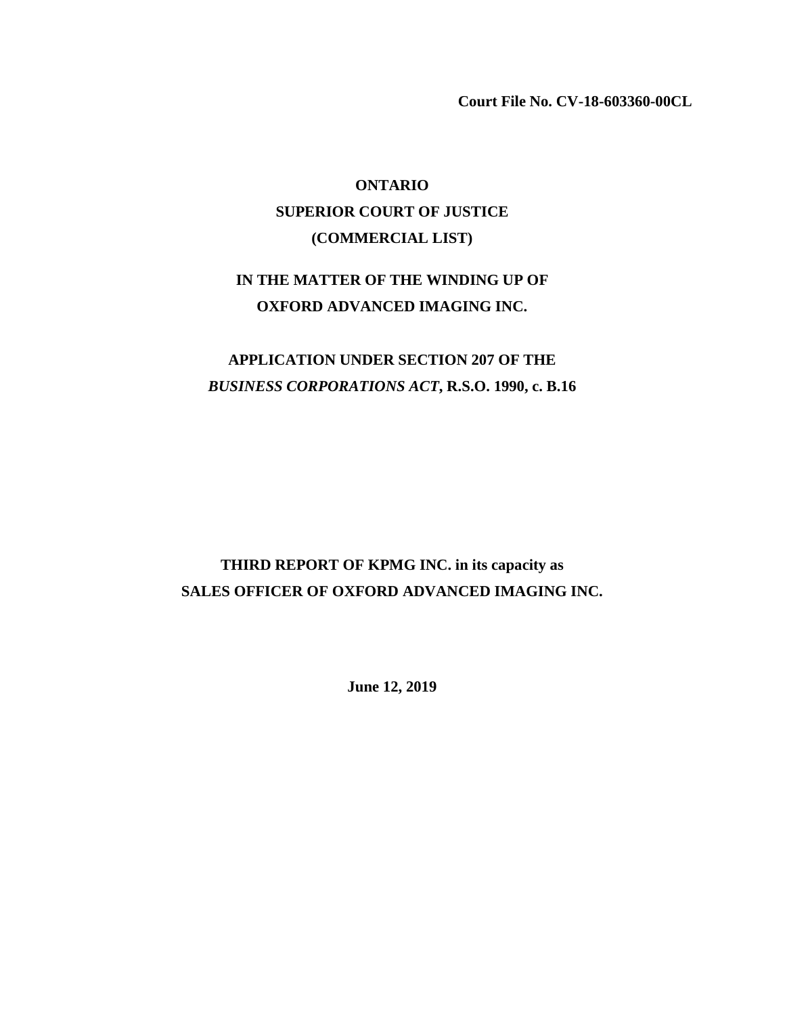**Court File No. CV-18-603360-00CL** 

# **ONTARIO SUPERIOR COURT OF JUSTICE (COMMERCIAL LIST)**

## **IN THE MATTER OF THE WINDING UP OF OXFORD ADVANCED IMAGING INC.**

# **APPLICATION UNDER SECTION 207 OF THE** *BUSINESS CORPORATIONS ACT***, R.S.O. 1990, c. B.16**

# **THIRD REPORT OF KPMG INC. in its capacity as SALES OFFICER OF OXFORD ADVANCED IMAGING INC.**

**June 12, 2019**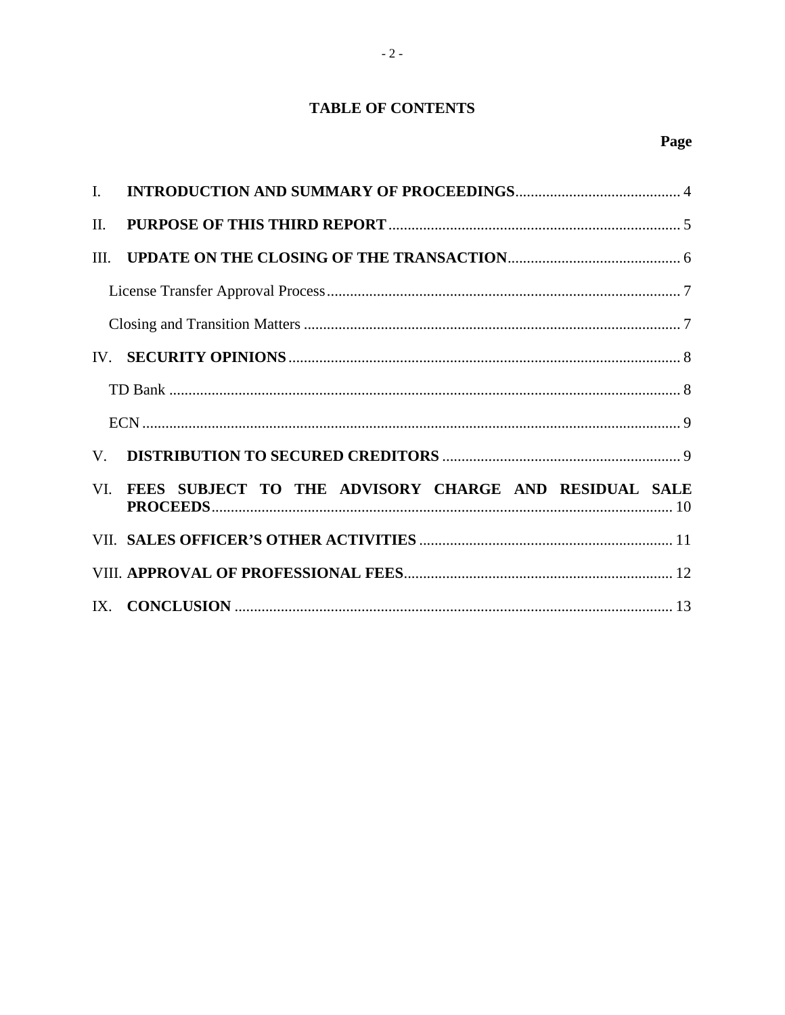## **TABLE OF CONTENTS**

| $\Pi$ .     |                                                       |
|-------------|-------------------------------------------------------|
| III.        |                                                       |
|             |                                                       |
|             |                                                       |
|             |                                                       |
|             |                                                       |
|             |                                                       |
| $V_{\cdot}$ |                                                       |
| VI.         | FEES SUBJECT TO THE ADVISORY CHARGE AND RESIDUAL SALE |
|             |                                                       |
|             |                                                       |
|             |                                                       |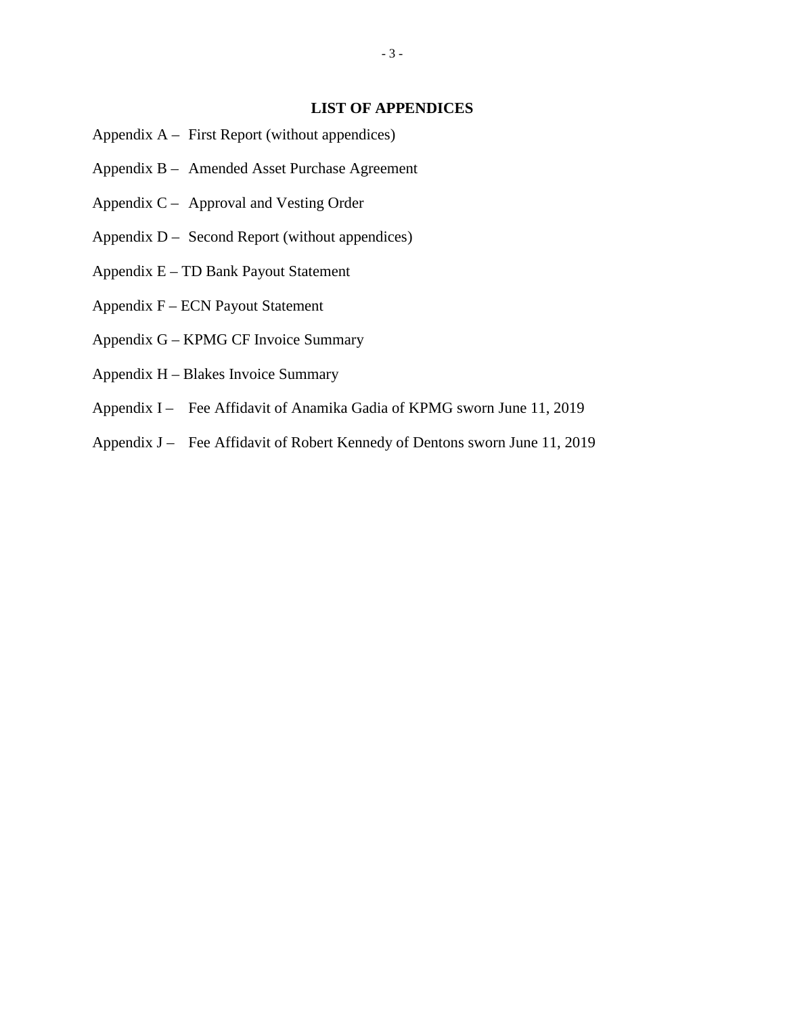### **LIST OF APPENDICES**

- Appendix A First Report (without appendices)
- Appendix B Amended Asset Purchase Agreement
- Appendix C Approval and Vesting Order
- Appendix D Second Report (without appendices)
- Appendix E TD Bank Payout Statement
- Appendix F ECN Payout Statement
- Appendix G KPMG CF Invoice Summary
- Appendix H Blakes Invoice Summary
- Appendix I Fee Affidavit of Anamika Gadia of KPMG sworn June 11, 2019
- Appendix J Fee Affidavit of Robert Kennedy of Dentons sworn June 11, 2019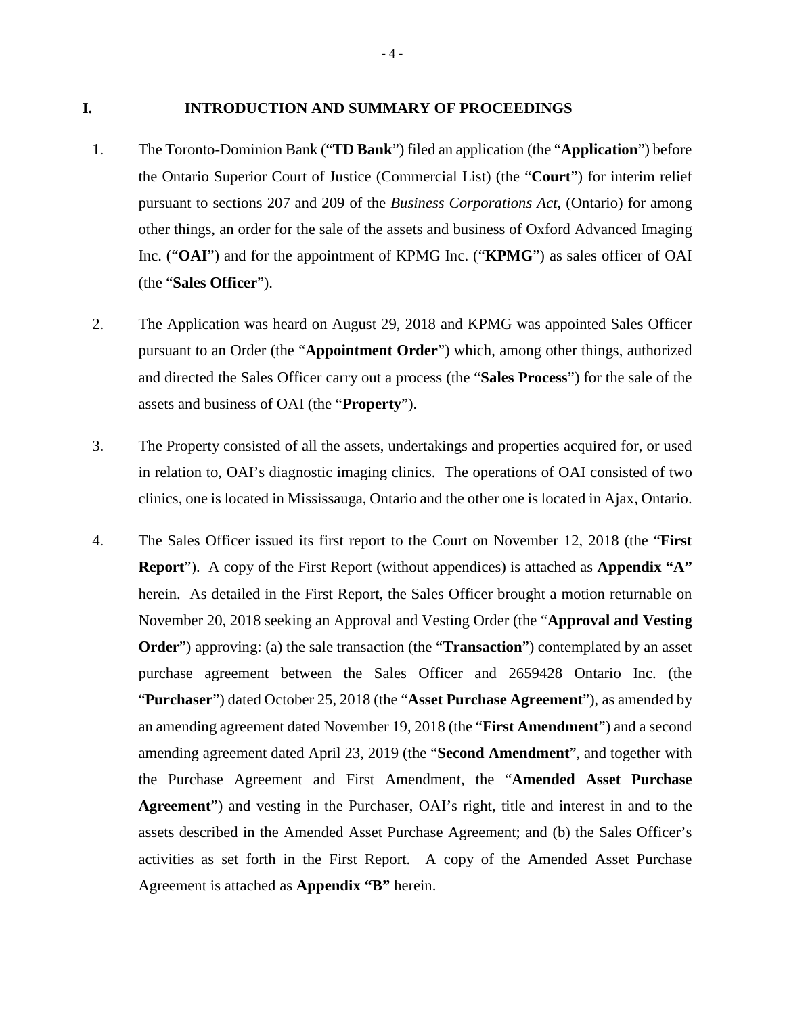#### **I. INTRODUCTION AND SUMMARY OF PROCEEDINGS**

- 1. The Toronto-Dominion Bank ("**TD Bank**") filed an application (the "**Application**") before the Ontario Superior Court of Justice (Commercial List) (the "**Court**") for interim relief pursuant to sections 207 and 209 of the *Business Corporations Act*, (Ontario) for among other things, an order for the sale of the assets and business of Oxford Advanced Imaging Inc. ("**OAI**") and for the appointment of KPMG Inc. ("**KPMG**") as sales officer of OAI (the "**Sales Officer**").
- 2. The Application was heard on August 29, 2018 and KPMG was appointed Sales Officer pursuant to an Order (the "**Appointment Order**") which, among other things, authorized and directed the Sales Officer carry out a process (the "**Sales Process**") for the sale of the assets and business of OAI (the "**Property**").
- 3. The Property consisted of all the assets, undertakings and properties acquired for, or used in relation to, OAI's diagnostic imaging clinics. The operations of OAI consisted of two clinics, one is located in Mississauga, Ontario and the other one is located in Ajax, Ontario.
- 4. The Sales Officer issued its first report to the Court on November 12, 2018 (the "**First Report**"). A copy of the First Report (without appendices) is attached as **Appendix "A"** herein. As detailed in the First Report, the Sales Officer brought a motion returnable on November 20, 2018 seeking an Approval and Vesting Order (the "**Approval and Vesting Order**") approving: (a) the sale transaction (the "**Transaction**") contemplated by an asset purchase agreement between the Sales Officer and 2659428 Ontario Inc. (the "**Purchaser**") dated October 25, 2018 (the "**Asset Purchase Agreement**"), as amended by an amending agreement dated November 19, 2018 (the "**First Amendment**") and a second amending agreement dated April 23, 2019 (the "**Second Amendment**", and together with the Purchase Agreement and First Amendment, the "**Amended Asset Purchase Agreement**") and vesting in the Purchaser, OAI's right, title and interest in and to the assets described in the Amended Asset Purchase Agreement; and (b) the Sales Officer's activities as set forth in the First Report. A copy of the Amended Asset Purchase Agreement is attached as **Appendix "B"** herein.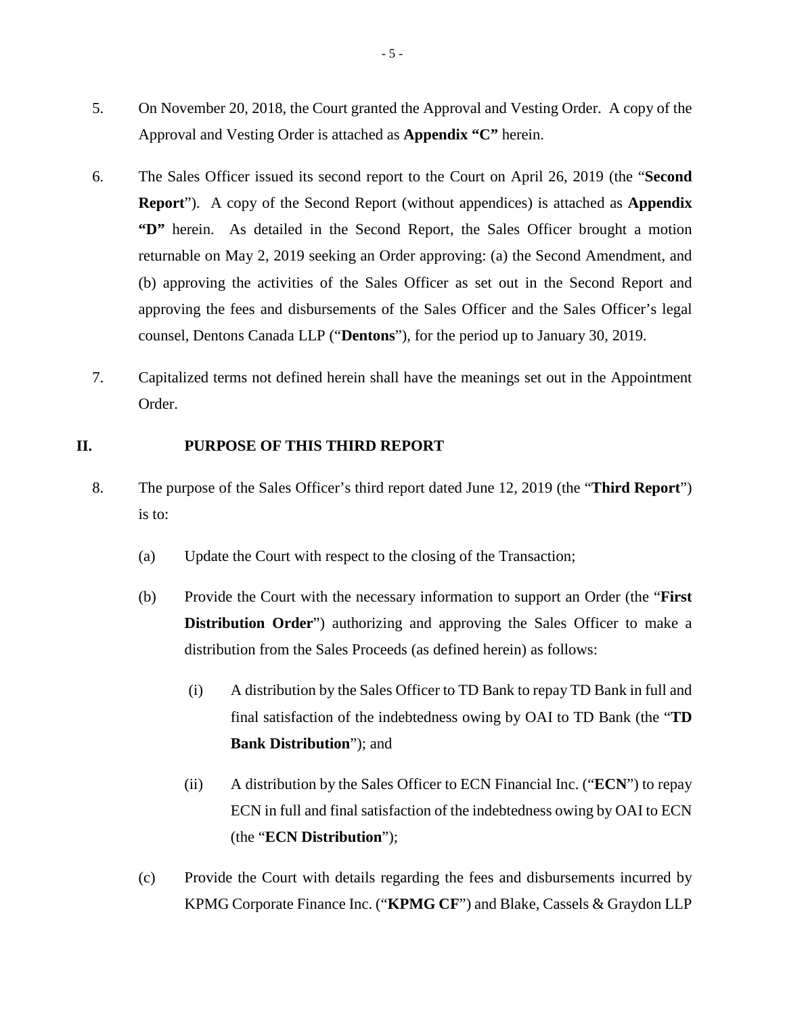- 5. On November 20, 2018, the Court granted the Approval and Vesting Order. A copy of the Approval and Vesting Order is attached as **Appendix "C"** herein.
- 6. The Sales Officer issued its second report to the Court on April 26, 2019 (the "**Second Report**"). A copy of the Second Report (without appendices) is attached as **Appendix "D"** herein. As detailed in the Second Report, the Sales Officer brought a motion returnable on May 2, 2019 seeking an Order approving: (a) the Second Amendment, and (b) approving the activities of the Sales Officer as set out in the Second Report and approving the fees and disbursements of the Sales Officer and the Sales Officer's legal counsel, Dentons Canada LLP ("**Dentons**"), for the period up to January 30, 2019.
- 7. Capitalized terms not defined herein shall have the meanings set out in the Appointment Order.

#### **II. PURPOSE OF THIS THIRD REPORT**

- 8. The purpose of the Sales Officer's third report dated June 12, 2019 (the "**Third Report**") is to:
	- (a) Update the Court with respect to the closing of the Transaction;
	- (b) Provide the Court with the necessary information to support an Order (the "**First Distribution Order**") authorizing and approving the Sales Officer to make a distribution from the Sales Proceeds (as defined herein) as follows:
		- (i) A distribution by the Sales Officer to TD Bank to repay TD Bank in full and final satisfaction of the indebtedness owing by OAI to TD Bank (the "**TD Bank Distribution**"); and
		- (ii) A distribution by the Sales Officer to ECN Financial Inc. ("**ECN**") to repay ECN in full and final satisfaction of the indebtedness owing by OAI to ECN (the "**ECN Distribution**");
	- (c) Provide the Court with details regarding the fees and disbursements incurred by KPMG Corporate Finance Inc. ("**KPMG CF**") and Blake, Cassels & Graydon LLP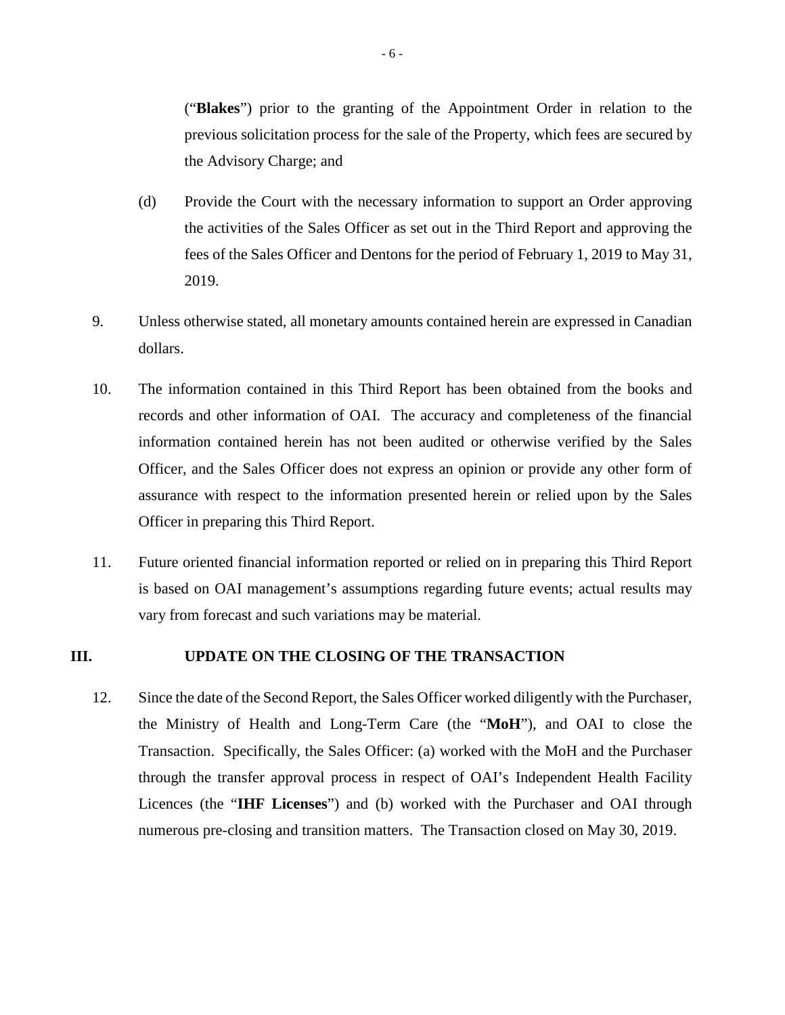("**Blakes**") prior to the granting of the Appointment Order in relation to the previous solicitation process for the sale of the Property, which fees are secured by the Advisory Charge; and

- (d) Provide the Court with the necessary information to support an Order approving the activities of the Sales Officer as set out in the Third Report and approving the fees of the Sales Officer and Dentons for the period of February 1, 2019 to May 31, 2019.
- 9. Unless otherwise stated, all monetary amounts contained herein are expressed in Canadian dollars.
- 10. The information contained in this Third Report has been obtained from the books and records and other information of OAI. The accuracy and completeness of the financial information contained herein has not been audited or otherwise verified by the Sales Officer, and the Sales Officer does not express an opinion or provide any other form of assurance with respect to the information presented herein or relied upon by the Sales Officer in preparing this Third Report.
- 11. Future oriented financial information reported or relied on in preparing this Third Report is based on OAI management's assumptions regarding future events; actual results may vary from forecast and such variations may be material.

### **III. UPDATE ON THE CLOSING OF THE TRANSACTION**

12. Since the date of the Second Report, the Sales Officer worked diligently with the Purchaser, the Ministry of Health and Long-Term Care (the "**MoH**"), and OAI to close the Transaction. Specifically, the Sales Officer: (a) worked with the MoH and the Purchaser through the transfer approval process in respect of OAI's Independent Health Facility Licences (the "**IHF Licenses**") and (b) worked with the Purchaser and OAI through numerous pre-closing and transition matters. The Transaction closed on May 30, 2019.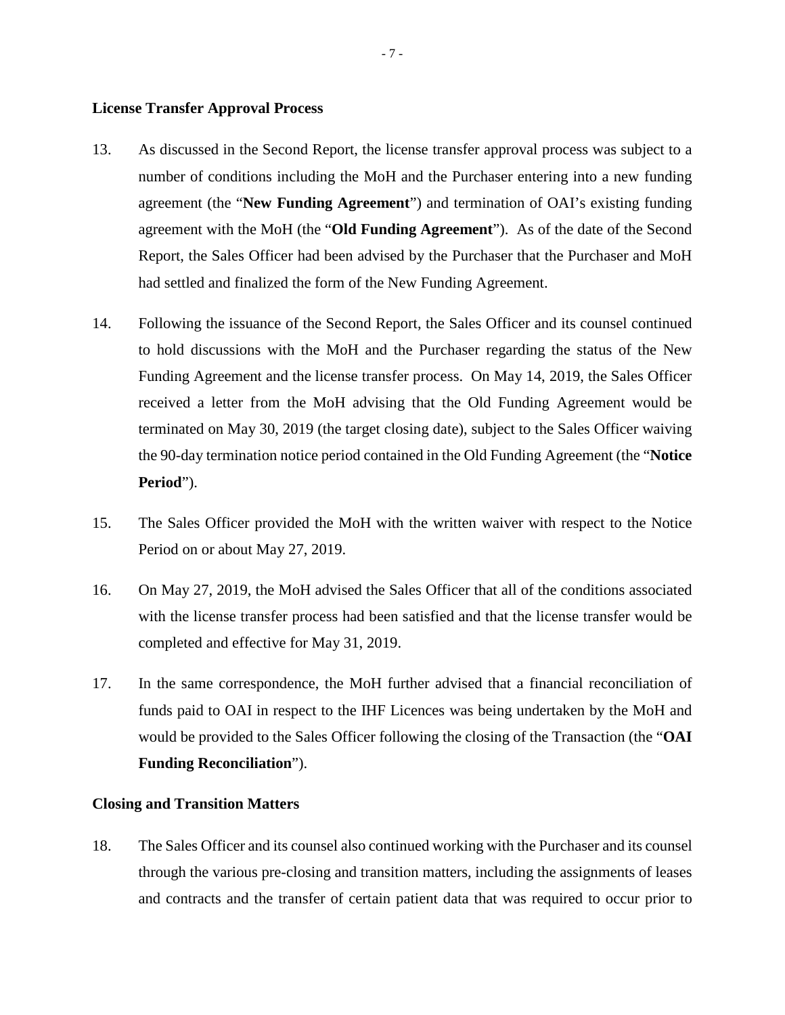#### **License Transfer Approval Process**

- 13. As discussed in the Second Report, the license transfer approval process was subject to a number of conditions including the MoH and the Purchaser entering into a new funding agreement (the "**New Funding Agreement**") and termination of OAI's existing funding agreement with the MoH (the "**Old Funding Agreement**"). As of the date of the Second Report, the Sales Officer had been advised by the Purchaser that the Purchaser and MoH had settled and finalized the form of the New Funding Agreement.
- 14. Following the issuance of the Second Report, the Sales Officer and its counsel continued to hold discussions with the MoH and the Purchaser regarding the status of the New Funding Agreement and the license transfer process. On May 14, 2019, the Sales Officer received a letter from the MoH advising that the Old Funding Agreement would be terminated on May 30, 2019 (the target closing date), subject to the Sales Officer waiving the 90-day termination notice period contained in the Old Funding Agreement (the "**Notice Period**").
- 15. The Sales Officer provided the MoH with the written waiver with respect to the Notice Period on or about May 27, 2019.
- 16. On May 27, 2019, the MoH advised the Sales Officer that all of the conditions associated with the license transfer process had been satisfied and that the license transfer would be completed and effective for May 31, 2019.
- 17. In the same correspondence, the MoH further advised that a financial reconciliation of funds paid to OAI in respect to the IHF Licences was being undertaken by the MoH and would be provided to the Sales Officer following the closing of the Transaction (the "**OAI Funding Reconciliation**").

#### **Closing and Transition Matters**

18. The Sales Officer and its counsel also continued working with the Purchaser and its counsel through the various pre-closing and transition matters, including the assignments of leases and contracts and the transfer of certain patient data that was required to occur prior to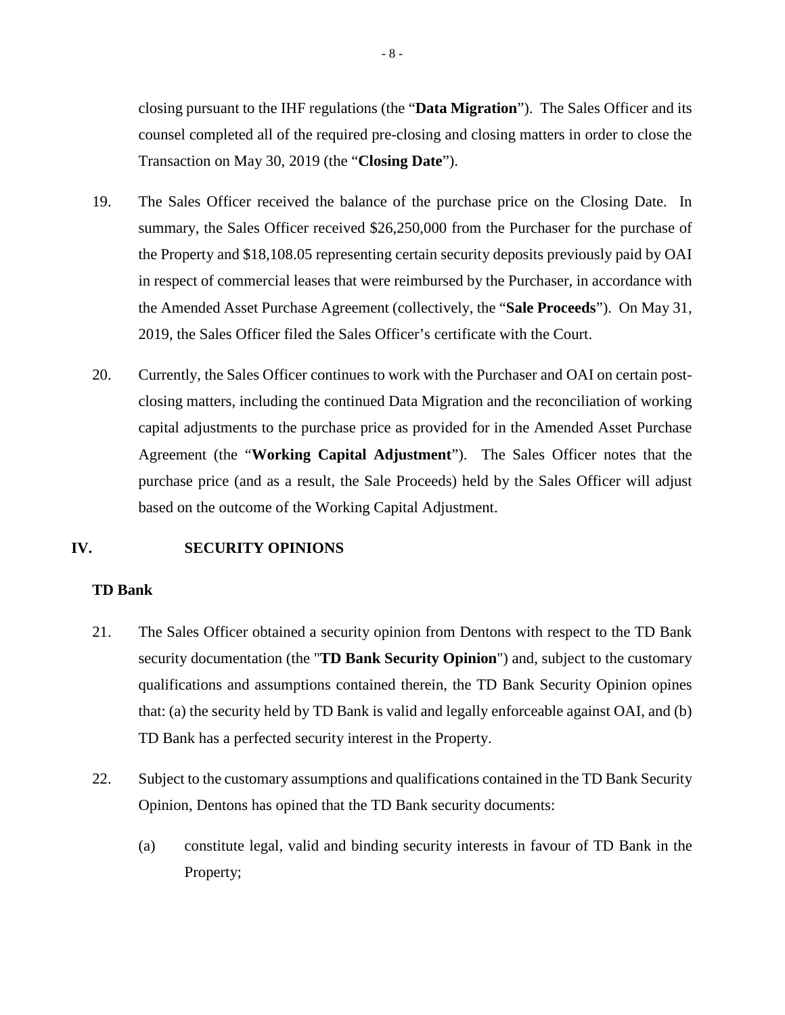closing pursuant to the IHF regulations (the "**Data Migration**"). The Sales Officer and its counsel completed all of the required pre-closing and closing matters in order to close the Transaction on May 30, 2019 (the "**Closing Date**").

- 19. The Sales Officer received the balance of the purchase price on the Closing Date. In summary, the Sales Officer received \$26,250,000 from the Purchaser for the purchase of the Property and \$18,108.05 representing certain security deposits previously paid by OAI in respect of commercial leases that were reimbursed by the Purchaser, in accordance with the Amended Asset Purchase Agreement (collectively, the "**Sale Proceeds**"). On May 31, 2019, the Sales Officer filed the Sales Officer's certificate with the Court.
- 20. Currently, the Sales Officer continues to work with the Purchaser and OAI on certain postclosing matters, including the continued Data Migration and the reconciliation of working capital adjustments to the purchase price as provided for in the Amended Asset Purchase Agreement (the "**Working Capital Adjustment**"). The Sales Officer notes that the purchase price (and as a result, the Sale Proceeds) held by the Sales Officer will adjust based on the outcome of the Working Capital Adjustment.

#### **IV. SECURITY OPINIONS**

#### **TD Bank**

- 21. The Sales Officer obtained a security opinion from Dentons with respect to the TD Bank security documentation (the "**TD Bank Security Opinion**") and, subject to the customary qualifications and assumptions contained therein, the TD Bank Security Opinion opines that: (a) the security held by TD Bank is valid and legally enforceable against OAI, and (b) TD Bank has a perfected security interest in the Property.
- 22. Subject to the customary assumptions and qualifications contained in the TD Bank Security Opinion, Dentons has opined that the TD Bank security documents:
	- (a) constitute legal, valid and binding security interests in favour of TD Bank in the Property;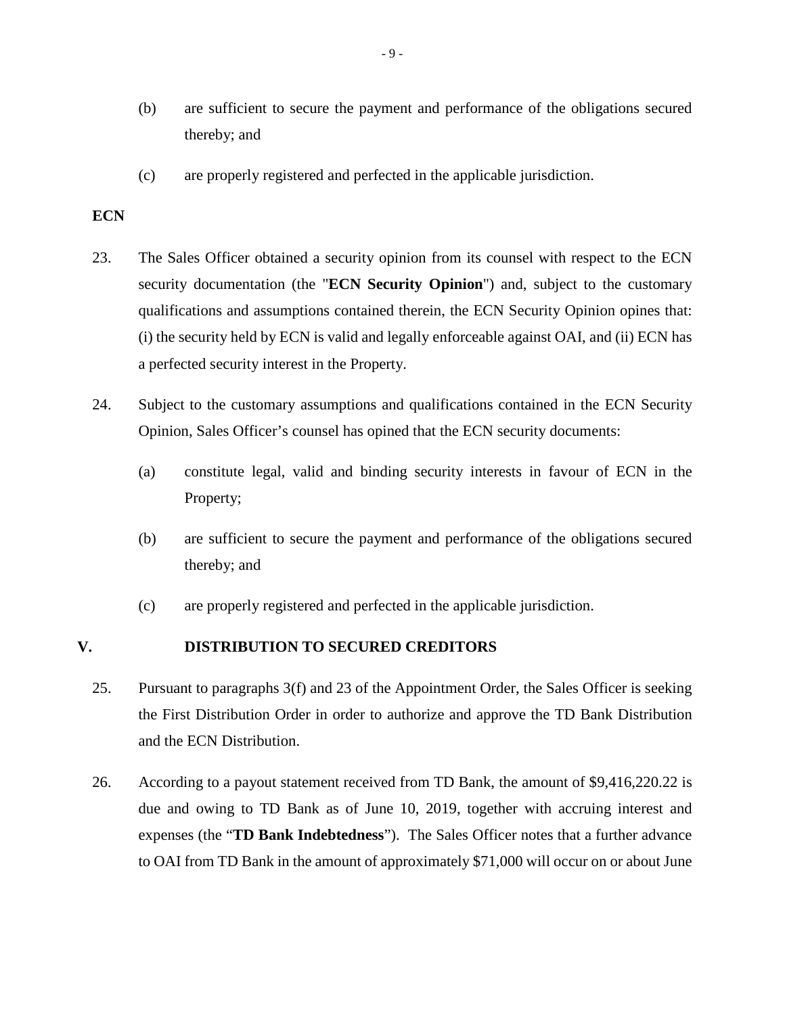- (b) are sufficient to secure the payment and performance of the obligations secured thereby; and
- (c) are properly registered and perfected in the applicable jurisdiction.

### **ECN**

- 23. The Sales Officer obtained a security opinion from its counsel with respect to the ECN security documentation (the "**ECN Security Opinion**") and, subject to the customary qualifications and assumptions contained therein, the ECN Security Opinion opines that: (i) the security held by ECN is valid and legally enforceable against OAI, and (ii) ECN has a perfected security interest in the Property.
- 24. Subject to the customary assumptions and qualifications contained in the ECN Security Opinion, Sales Officer's counsel has opined that the ECN security documents:
	- (a) constitute legal, valid and binding security interests in favour of ECN in the Property;
	- (b) are sufficient to secure the payment and performance of the obligations secured thereby; and
	- (c) are properly registered and perfected in the applicable jurisdiction.

### **V. DISTRIBUTION TO SECURED CREDITORS**

- 25. Pursuant to paragraphs 3(f) and 23 of the Appointment Order, the Sales Officer is seeking the First Distribution Order in order to authorize and approve the TD Bank Distribution and the ECN Distribution.
- 26. According to a payout statement received from TD Bank, the amount of \$9,416,220.22 is due and owing to TD Bank as of June 10, 2019, together with accruing interest and expenses (the "**TD Bank Indebtedness**"). The Sales Officer notes that a further advance to OAI from TD Bank in the amount of approximately \$71,000 will occur on or about June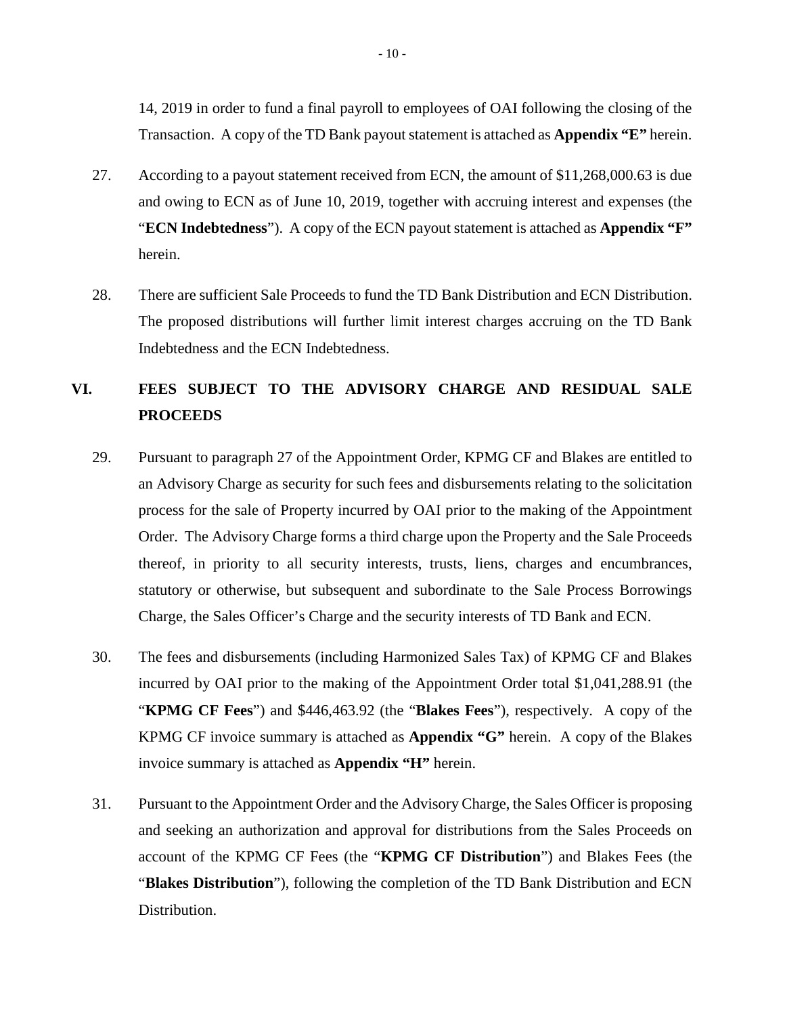14, 2019 in order to fund a final payroll to employees of OAI following the closing of the Transaction. A copy of the TD Bank payout statement is attached as **Appendix "E"** herein.

- 27. According to a payout statement received from ECN, the amount of \$11,268,000.63 is due and owing to ECN as of June 10, 2019, together with accruing interest and expenses (the "**ECN Indebtedness**"). A copy of the ECN payout statement is attached as **Appendix "F"** herein.
- 28. There are sufficient Sale Proceeds to fund the TD Bank Distribution and ECN Distribution. The proposed distributions will further limit interest charges accruing on the TD Bank Indebtedness and the ECN Indebtedness.

## **VI. FEES SUBJECT TO THE ADVISORY CHARGE AND RESIDUAL SALE PROCEEDS**

- 29. Pursuant to paragraph 27 of the Appointment Order, KPMG CF and Blakes are entitled to an Advisory Charge as security for such fees and disbursements relating to the solicitation process for the sale of Property incurred by OAI prior to the making of the Appointment Order. The Advisory Charge forms a third charge upon the Property and the Sale Proceeds thereof, in priority to all security interests, trusts, liens, charges and encumbrances, statutory or otherwise, but subsequent and subordinate to the Sale Process Borrowings Charge, the Sales Officer's Charge and the security interests of TD Bank and ECN.
- 30. The fees and disbursements (including Harmonized Sales Tax) of KPMG CF and Blakes incurred by OAI prior to the making of the Appointment Order total \$1,041,288.91 (the "**KPMG CF Fees**") and \$446,463.92 (the "**Blakes Fees**"), respectively. A copy of the KPMG CF invoice summary is attached as **Appendix "G"** herein. A copy of the Blakes invoice summary is attached as **Appendix "H"** herein.
- 31. Pursuant to the Appointment Order and the Advisory Charge, the Sales Officer is proposing and seeking an authorization and approval for distributions from the Sales Proceeds on account of the KPMG CF Fees (the "**KPMG CF Distribution**") and Blakes Fees (the "**Blakes Distribution**"), following the completion of the TD Bank Distribution and ECN Distribution.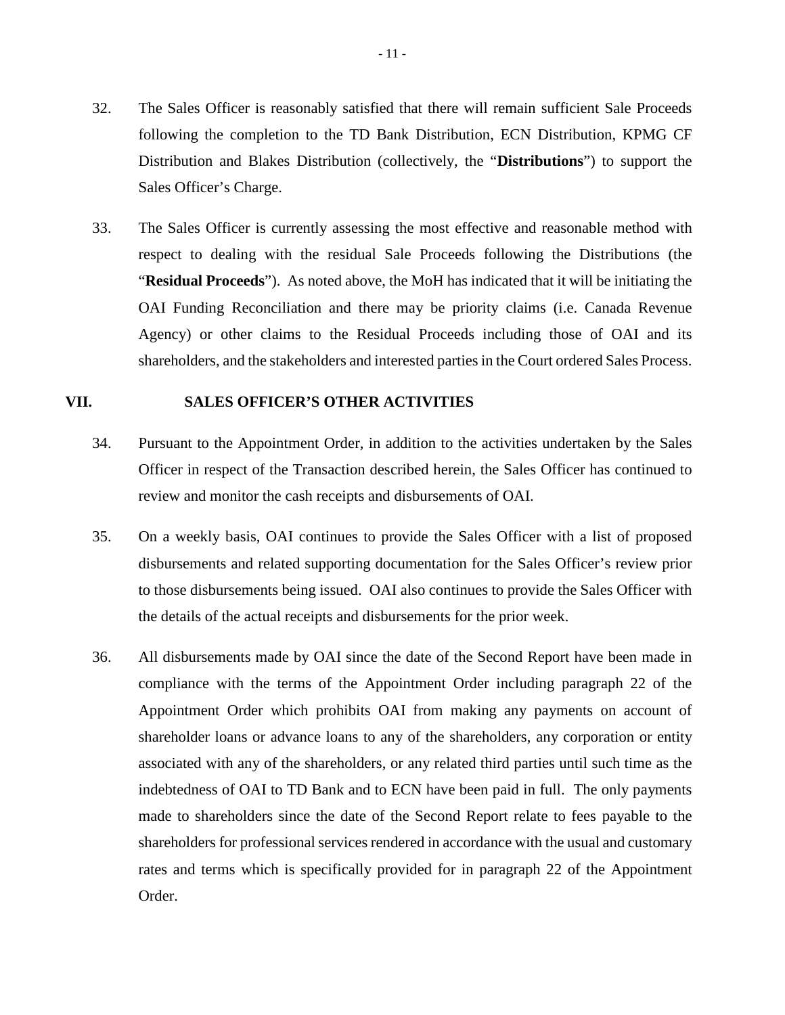- 32. The Sales Officer is reasonably satisfied that there will remain sufficient Sale Proceeds following the completion to the TD Bank Distribution, ECN Distribution, KPMG CF Distribution and Blakes Distribution (collectively, the "**Distributions**") to support the Sales Officer's Charge.
- 33. The Sales Officer is currently assessing the most effective and reasonable method with respect to dealing with the residual Sale Proceeds following the Distributions (the "**Residual Proceeds**"). As noted above, the MoH has indicated that it will be initiating the OAI Funding Reconciliation and there may be priority claims (i.e. Canada Revenue Agency) or other claims to the Residual Proceeds including those of OAI and its shareholders, and the stakeholders and interested parties in the Court ordered Sales Process.

### **VII. SALES OFFICER'S OTHER ACTIVITIES**

- 34. Pursuant to the Appointment Order, in addition to the activities undertaken by the Sales Officer in respect of the Transaction described herein, the Sales Officer has continued to review and monitor the cash receipts and disbursements of OAI.
- 35. On a weekly basis, OAI continues to provide the Sales Officer with a list of proposed disbursements and related supporting documentation for the Sales Officer's review prior to those disbursements being issued. OAI also continues to provide the Sales Officer with the details of the actual receipts and disbursements for the prior week.
- 36. All disbursements made by OAI since the date of the Second Report have been made in compliance with the terms of the Appointment Order including paragraph 22 of the Appointment Order which prohibits OAI from making any payments on account of shareholder loans or advance loans to any of the shareholders, any corporation or entity associated with any of the shareholders, or any related third parties until such time as the indebtedness of OAI to TD Bank and to ECN have been paid in full. The only payments made to shareholders since the date of the Second Report relate to fees payable to the shareholders for professional services rendered in accordance with the usual and customary rates and terms which is specifically provided for in paragraph 22 of the Appointment Order.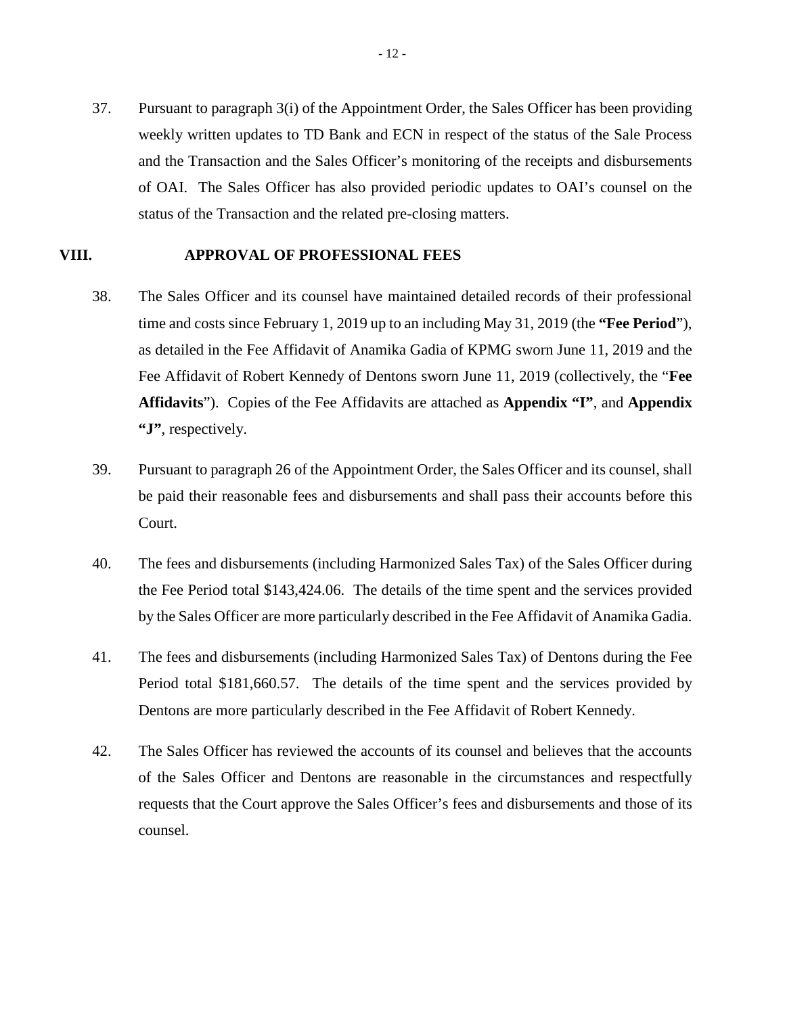37. Pursuant to paragraph 3(i) of the Appointment Order, the Sales Officer has been providing weekly written updates to TD Bank and ECN in respect of the status of the Sale Process and the Transaction and the Sales Officer's monitoring of the receipts and disbursements of OAI. The Sales Officer has also provided periodic updates to OAI's counsel on the status of the Transaction and the related pre-closing matters.

#### **VIII. APPROVAL OF PROFESSIONAL FEES**

- 38. The Sales Officer and its counsel have maintained detailed records of their professional time and costs since February 1, 2019 up to an including May 31, 2019 (the **"Fee Period**"), as detailed in the Fee Affidavit of Anamika Gadia of KPMG sworn June 11, 2019 and the Fee Affidavit of Robert Kennedy of Dentons sworn June 11, 2019 (collectively, the "**Fee Affidavits**"). Copies of the Fee Affidavits are attached as **Appendix "I"**, and **Appendix "J"**, respectively.
- 39. Pursuant to paragraph 26 of the Appointment Order, the Sales Officer and its counsel, shall be paid their reasonable fees and disbursements and shall pass their accounts before this Court.
- 40. The fees and disbursements (including Harmonized Sales Tax) of the Sales Officer during the Fee Period total \$143,424.06. The details of the time spent and the services provided by the Sales Officer are more particularly described in the Fee Affidavit of Anamika Gadia.
- 41. The fees and disbursements (including Harmonized Sales Tax) of Dentons during the Fee Period total \$181,660.57. The details of the time spent and the services provided by Dentons are more particularly described in the Fee Affidavit of Robert Kennedy.
- 42. The Sales Officer has reviewed the accounts of its counsel and believes that the accounts of the Sales Officer and Dentons are reasonable in the circumstances and respectfully requests that the Court approve the Sales Officer's fees and disbursements and those of its counsel.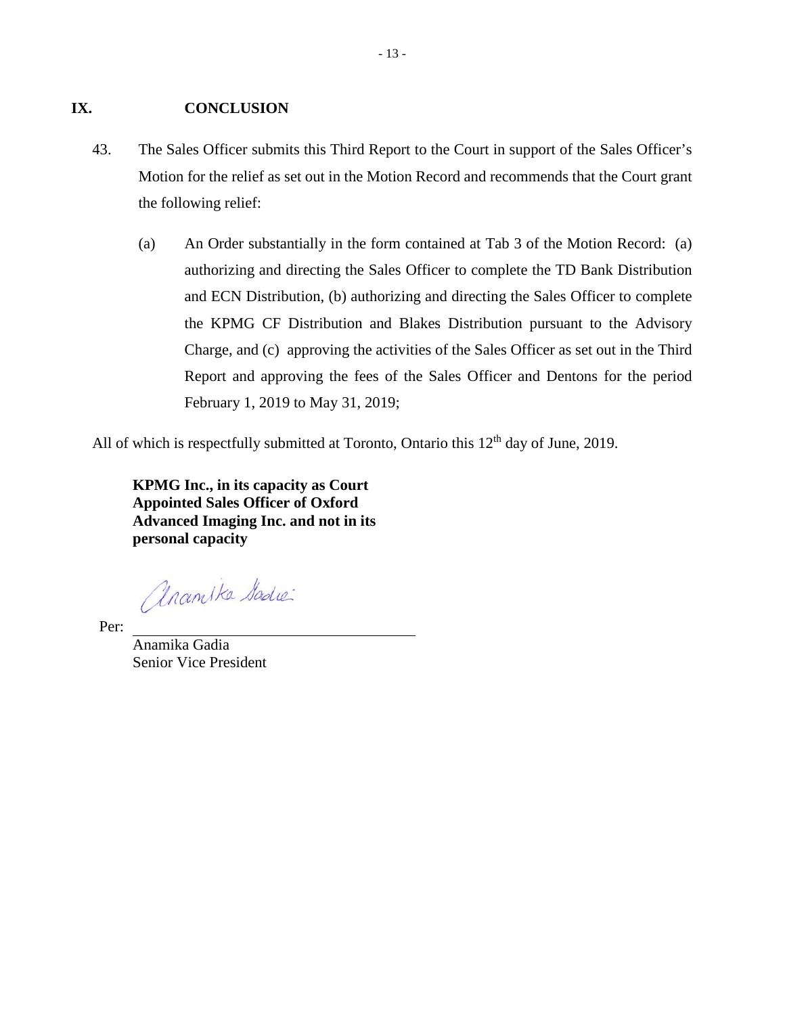#### **IX. CONCLUSION**

- 43. The Sales Officer submits this Third Report to the Court in support of the Sales Officer's Motion for the relief as set out in the Motion Record and recommends that the Court grant the following relief:
	- (a) An Order substantially in the form contained at Tab 3 of the Motion Record: (a) authorizing and directing the Sales Officer to complete the TD Bank Distribution and ECN Distribution, (b) authorizing and directing the Sales Officer to complete the KPMG CF Distribution and Blakes Distribution pursuant to the Advisory Charge, and (c) approving the activities of the Sales Officer as set out in the Third Report and approving the fees of the Sales Officer and Dentons for the period February 1, 2019 to May 31, 2019;

All of which is respectfully submitted at Toronto, Ontario this  $12<sup>th</sup>$  day of June, 2019.

**KPMG Inc., in its capacity as Court Appointed Sales Officer of Oxford Advanced Imaging Inc. and not in its personal capacity**

anamika Sadre

Per:

Anamika Gadia Senior Vice President